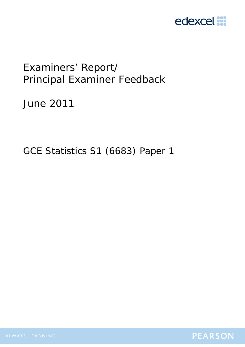

# Examiners' Report/ Principal Examiner Feedback

June 2011

GCE Statistics S1 (6683) Paper 1

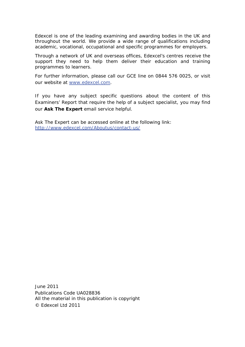Edexcel is one of the leading examining and awarding bodies in the UK and throughout the world. We provide a wide range of qualifications including academic, vocational, occupational and specific programmes for employers.

Through a network of UK and overseas offices, Edexcel's centres receive the support they need to help them deliver their education and training programmes to learners.

For further information, please call our GCE line on 0844 576 0025, or visit our website at www.edexcel.com.

If you have any subject specific questions about the content of this Examiners' Report that require the help of a subject specialist, you may find our **Ask The Expert** email service helpful.

Ask The Expert can be accessed online at the following link: http://www.edexcel.com/Aboutus/contact-us/

June 2011 Publications Code UA028836 All the material in this publication is copyright © Edexcel Ltd 2011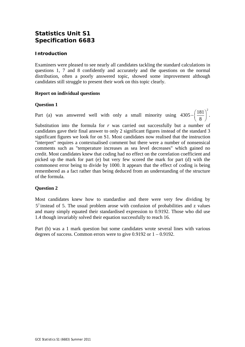## **Statistics Unit S1 Specification 6683**

### **Introduction**

Examiners were pleased to see nearly all candidates tackling the standard calculations in questions 1, 7 and 8 confidently and accurately and the questions on the normal distribution, often a poorly answered topic, showed some improvement although candidates still struggle to present their work on this topic clearly.

### **Report on individual questions**

#### **Question 1**

Part (a) was answered well with only a small minority using  $4305 - \left(\frac{181}{2}\right)^2$  $-\left(\frac{181}{8}\right)^{2}$ .

Substitution into the formula for *r* was carried out successfully but a number of candidates gave their final answer to only 2 significant figures instead of the standard 3 significant figures we look for on S1. Most candidates now realised that the instruction "interpret" requires a contextualised comment but there were a number of nonsensical comments such as "temperature increases as sea level decreases" which gained no credit. Most candidates knew that coding had no effect on the correlation coefficient and picked up the mark for part (e) but very few scored the mark for part (d) with the commonest error being to divide by 1000. It appears that the effect of coding is being remembered as a fact rather than being deduced from an understanding of the structure of the formula.

### **Question 2**

Most candidates knew how to standardise and there were very few dividing by  $5<sup>2</sup>$  instead of 5. The usual problem arose with confusion of probabilities and z values and many simply equated their standardised expression to 0.9192. Those who did use 1.4 though invariably solved their equation successfully to reach 16.

Part (b) was a 1 mark question but some candidates wrote several lines with various degrees of success. Common errors were to give 0.9192 or 1 – 0.9192.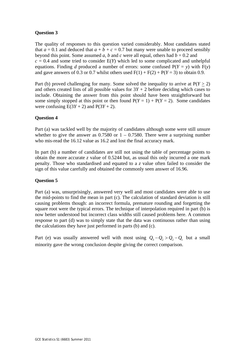### **Question 3**

The quality of responses to this question varied considerably. Most candidates stated that  $a = 0.1$  and deduced that  $a + b + c = 0.7$  but many were unable to proceed sensibly beyond this point. Some assumed *a*, *b* and *c* were all equal, others had  $b = 0.2$  and  $c = 0.4$  and some tried to consider  $E(Y)$  which led to some complicated and unhelpful equations. Finding *d* produced a number of errors: some confused  $P(Y = y)$  with  $F(y)$ and gave answers of 0.3 or 0.7 whilst others used  $F(1) + F(2) + P(Y = 3)$  to obtain 0.9.

Part (b) proved challenging for many. Some solved the inequality to arrive at  $P(Y > 2)$ and others created lists of all possible values for  $3Y + 2$  before deciding which cases to include. Obtaining the answer from this point should have been straightforward but some simply stopped at this point or then found  $P(Y = 1) + P(Y = 2)$ . Some candidates were confusing  $E(3Y + 2)$  and  $P(3Y + 2)$ .

### **Question 4**

Part (a) was tackled well by the majority of candidates although some were still unsure whether to give the answer as  $0.7580$  or  $1 - 0.7580$ . There were a surprising number who mis-read the 16.12 value as 16.2 and lost the final accuracy mark.

In part (b) a number of candidates are still not using the table of percentage points to obtain the more accurate *z* value of 0.5244 but, as usual this only incurred a one mark penalty. Those who standardised and equated to a *z* value often failed to consider the sign of this value carefully and obtained the commonly seen answer of 16.96.

### **Question 5**

Part (a) was, unsurprisingly, answered very well and most candidates were able to use the mid-points to find the mean in part (c). The calculation of standard deviation is still causing problems though: an incorrect formula, premature rounding and forgetting the square root were the typical errors. The technique of interpolation required in part (b) is now better understood but incorrect class widths still caused problems here. A common response to part (d) was to simply state that the data was continuous rather than using the calculations they have just performed in parts (b) and (c).

Part (e) was usually answered well with most using  $Q_3 - Q_2 > Q_2 - Q_1$  but a small minority gave the wrong conclusion despite giving the correct comparison.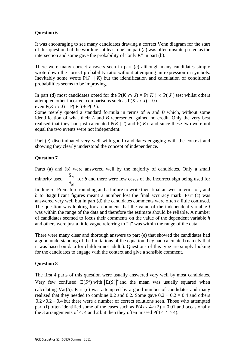#### **Question 6**

It was encouraging to see many candidates drawing a correct Venn diagram for the start of this question but the wording "at least one" in part (a) was often misinterpreted as the intersection and some gave the probability of "only *K*" in part (b).

There were many correct answers seen in part (c) although many candidates simply wrote down the correct probability ratio without attempting an expression in symbols. Inevitably some wrote  $P(J \mid K)$  but the identification and calculation of conditional probabilities seems to be improving.

In part (d) most candidates opted for the  $P(K \cap J) = P(K) \times P(J)$  test whilst others attempted other incorrect comparisons such as  $P(K \cap J) = 0$  or

even 
$$
P(K \cap J) = P(K) + P(J)
$$
.

Some merely quoted a standard formula in terms of *A* and *B* which, without some identification of what their *A* and *B* represented gained no credit. Only the very best realised that they had just calculated  $P(K | J)$  and  $P(K)$  and since these two were not equal the two events were not independent.

Part (e) discriminated very well with good candidates engaging with the context and showing they clearly understood the concept of independence.

### **Question 7**

Parts (a) and (b) were answered well by the majority of candidates. Only a small minority used S S *fh hh* for *b* and there were few cases of the incorrect sign being used for

finding *a*. Premature rounding and a failure to write their final answer in terms of *f* and *h* to 3significant figures meant a number lost the final accuracy mark. Part (c) was answered very well but in part (d) the candidates comments were often a little confused. The question was looking for a comment that the value of the independent variable *f* was within the range of the data and therefore the estimate should be reliable. A number of candidates seemed to focus their comments on the value of the dependent variable *h* and others were just a little vague referring to "it" was within the range of the data.

There were many clear and thorough answers to part (e) that showed the candidates had a good understanding of the limitations of the equation they had calculated (namely that it was based on data for children not adults). Questions of this type are simply looking for the candidates to engage with the context and give a sensible comment.

### **Question 8**

The first 4 parts of this question were usually answered very well by most candidates. Very few confused  $E(S^2)$  with  $[E(S)]^2$  and the mean was usually squared when calculating Var(*S*). Part (e) was attempted by a good number of candidates and many realised that they needed to combine 0.2 and 0.2. Some gave  $0.2 + 0.2 = 0.4$  and others  $0.2 \times 0.2 = 0.4$  but there were a number of correct solutions seen. Those who attempted part (f) often identified some of the cases such as  $P(4 \cap 4 \cap 2) = 0.01$  and occasionally the 3 arrangements of 4, 4 and 2 but then they often missed  $P(4 \cap 4 \cap 4)$ .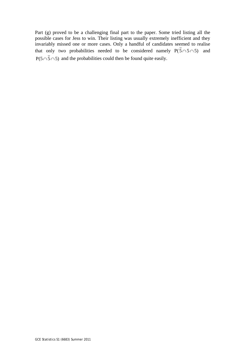Part (g) proved to be a challenging final part to the paper. Some tried listing all the possible cases for Jess to win. Their listing was usually extremely inefficient and they invariably missed one or more cases. Only a handful of candidates seemed to realise that only two probabilities needed to be considered namely  $P(\bar{5} \cap 5 \cap 5)$  and  $P(5 \cap \overline{5} \cap 5)$  and the probabilities could then be found quite easily.